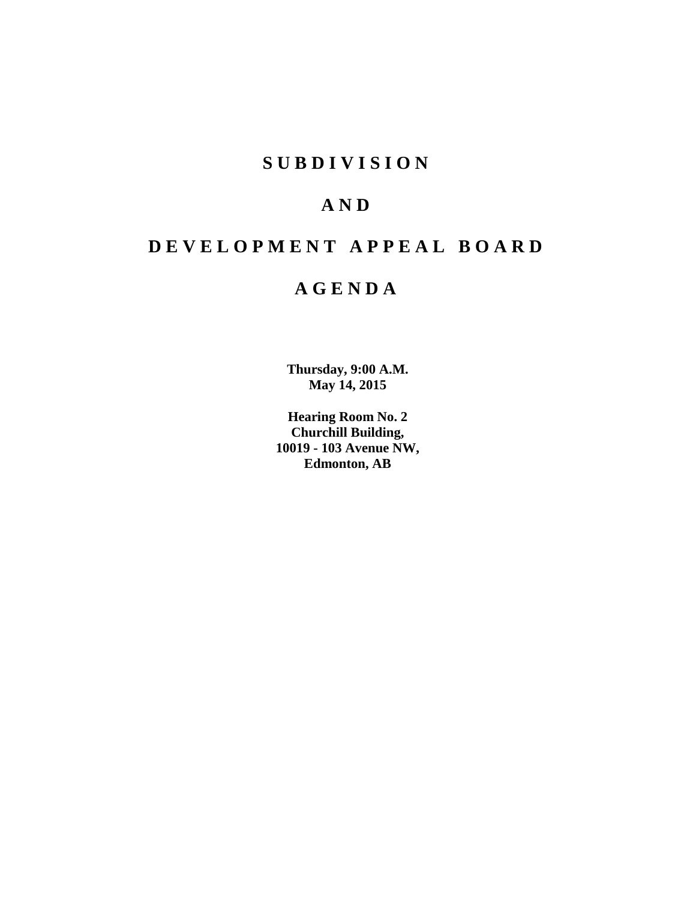### **S U B D I V I S I O N**

## **A N D**

## **D E V E L O P M E N T A P P E A L B O A R D**

### **A G E N D A**

**Thursday, 9:00 A.M. May 14, 2015**

**Hearing Room No. 2 Churchill Building, 10019 - 103 Avenue NW, Edmonton, AB**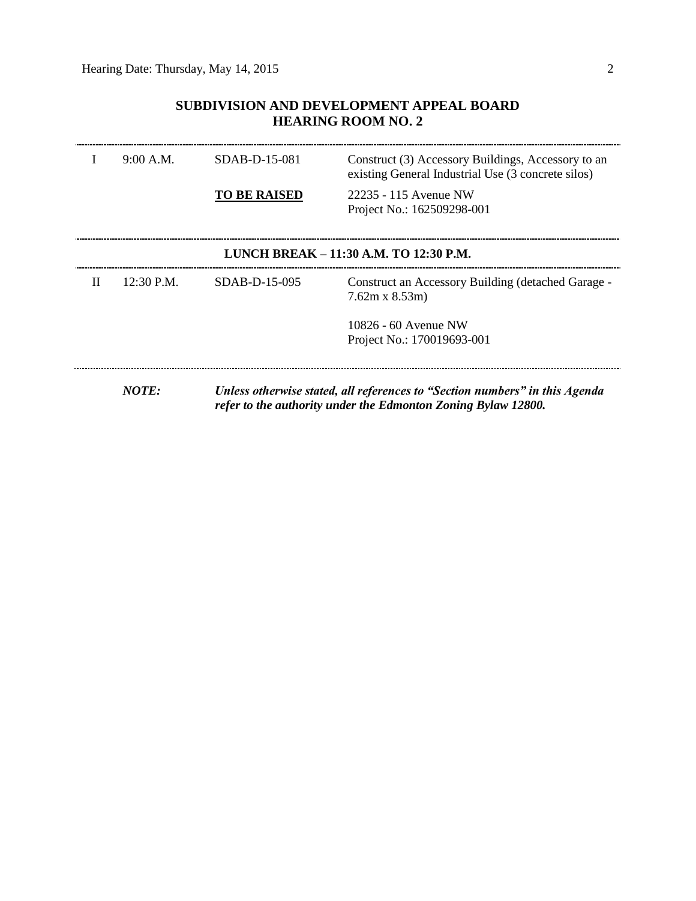### **SUBDIVISION AND DEVELOPMENT APPEAL BOARD HEARING ROOM NO. 2**

|       | 9:00 A.M.  | $SDAB-D-15-081$     | Construct (3) Accessory Buildings, Accessory to an<br>existing General Industrial Use (3 concrete silos)                                     |
|-------|------------|---------------------|----------------------------------------------------------------------------------------------------------------------------------------------|
|       |            | <b>TO BE RAISED</b> | 22235 - 115 Avenue NW<br>Project No.: 162509298-001                                                                                          |
|       |            |                     | LUNCH BREAK – 11:30 A.M. TO 12:30 P.M.                                                                                                       |
| $\Pi$ | 12:30 P.M. | $SDAB-D-15-095$     | Construct an Accessory Building (detached Garage -<br>$7.62m \times 8.53m$                                                                   |
|       |            |                     | 10826 - 60 Avenue NW                                                                                                                         |
|       |            |                     | Project No.: 170019693-001                                                                                                                   |
|       |            |                     |                                                                                                                                              |
|       | NOTE:      |                     | Unless otherwise stated, all references to "Section numbers" in this Agenda<br>refer to the authority under the Edmonton Zoning Bylaw 12800. |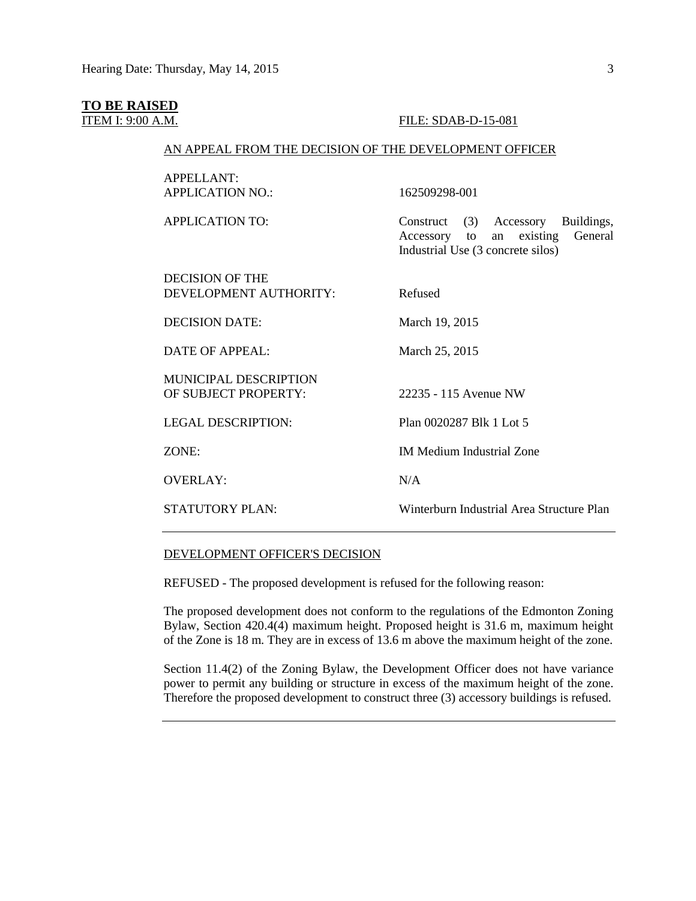#### **TO BE RAISED**

#### **ITEM I: 9:00 A.M. FILE: SDAB-D-15-081**

#### AN APPEAL FROM THE DECISION OF THE DEVELOPMENT OFFICER

| APPELLANT:<br><b>APPLICATION NO.:</b>                | 162509298-001                                                                                                           |
|------------------------------------------------------|-------------------------------------------------------------------------------------------------------------------------|
| <b>APPLICATION TO:</b>                               | Construct (3) Accessory<br>Buildings,<br>an existing<br>General<br>Accessory<br>to<br>Industrial Use (3 concrete silos) |
| DECISION OF THE<br>DEVELOPMENT AUTHORITY:            | Refused                                                                                                                 |
| <b>DECISION DATE:</b>                                | March 19, 2015                                                                                                          |
| <b>DATE OF APPEAL:</b>                               | March 25, 2015                                                                                                          |
| <b>MUNICIPAL DESCRIPTION</b><br>OF SUBJECT PROPERTY: | 22235 - 115 Avenue NW                                                                                                   |
| <b>LEGAL DESCRIPTION:</b>                            | Plan 0020287 Blk 1 Lot 5                                                                                                |
| ZONE:                                                | <b>IM Medium Industrial Zone</b>                                                                                        |
| <b>OVERLAY:</b>                                      | N/A                                                                                                                     |
| <b>STATUTORY PLAN:</b>                               | Winterburn Industrial Area Structure Plan                                                                               |

#### DEVELOPMENT OFFICER'S DECISION

REFUSED - The proposed development is refused for the following reason:

The proposed development does not conform to the regulations of the Edmonton Zoning Bylaw, Section 420.4(4) maximum height. Proposed height is 31.6 m, maximum height of the Zone is 18 m. They are in excess of 13.6 m above the maximum height of the zone.

Section 11.4(2) of the Zoning Bylaw, the Development Officer does not have variance power to permit any building or structure in excess of the maximum height of the zone. Therefore the proposed development to construct three (3) accessory buildings is refused.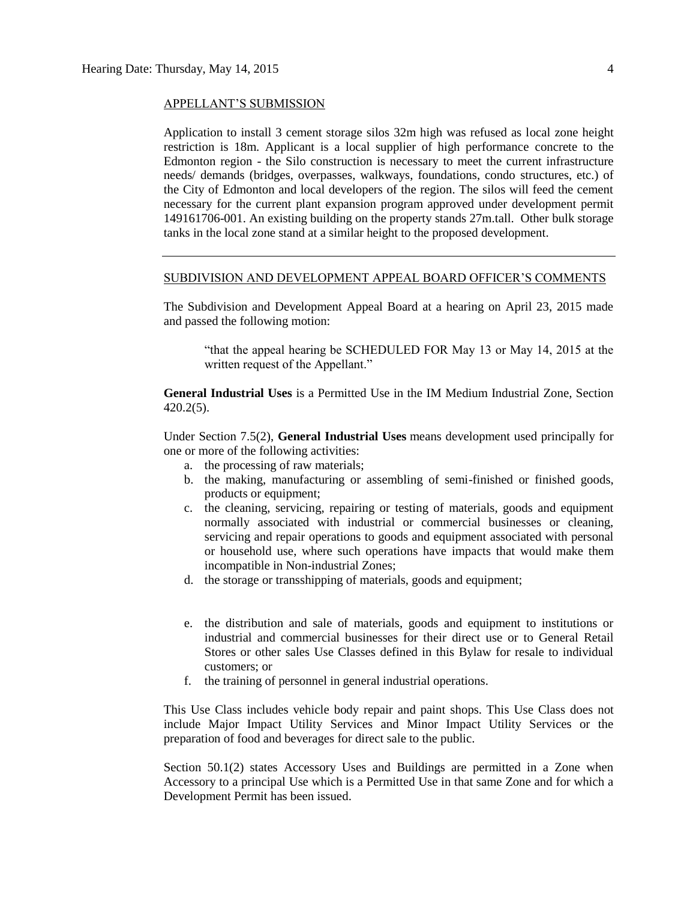#### APPELLANT'S SUBMISSION

Application to install 3 cement storage silos 32m high was refused as local zone height restriction is 18m. Applicant is a local supplier of high performance concrete to the Edmonton region - the Silo construction is necessary to meet the current infrastructure needs/ demands (bridges, overpasses, walkways, foundations, condo structures, etc.) of the City of Edmonton and local developers of the region. The silos will feed the cement necessary for the current plant expansion program approved under development permit 149161706-001. An existing building on the property stands 27m.tall. Other bulk storage tanks in the local zone stand at a similar height to the proposed development.

#### SUBDIVISION AND DEVELOPMENT APPEAL BOARD OFFICER'S COMMENTS

The Subdivision and Development Appeal Board at a hearing on April 23, 2015 made and passed the following motion:

"that the appeal hearing be SCHEDULED FOR May 13 or May 14, 2015 at the written request of the Appellant."

**General Industrial Uses** is a Permitted Use in the IM Medium Industrial Zone, Section 420.2(5).

Under Section 7.5(2), **General Industrial Uses** means development used principally for one or more of the following activities:

- a. the processing of raw materials;
- b. the making, manufacturing or assembling of semi-finished or finished goods, products or equipment;
- c. the cleaning, servicing, repairing or testing of materials, goods and equipment normally associated with industrial or commercial businesses or cleaning, servicing and repair operations to goods and equipment associated with personal or household use, where such operations have impacts that would make them incompatible in Non-industrial Zones;
- d. the storage or transshipping of materials, goods and equipment;
- e. the distribution and sale of materials, goods and equipment to institutions or industrial and commercial businesses for their direct use or to General Retail Stores or other sales Use Classes defined in this Bylaw for resale to individual customers; or
- f. the training of personnel in general industrial operations.

This Use Class includes vehicle body repair and paint shops. This Use Class does not include Major Impact Utility Services and Minor Impact Utility Services or the preparation of food and beverages for direct sale to the public.

Section 50.1(2) states Accessory Uses and Buildings are permitted in a Zone when Accessory to a principal Use which is a Permitted Use in that same Zone and for which a Development Permit has been issued.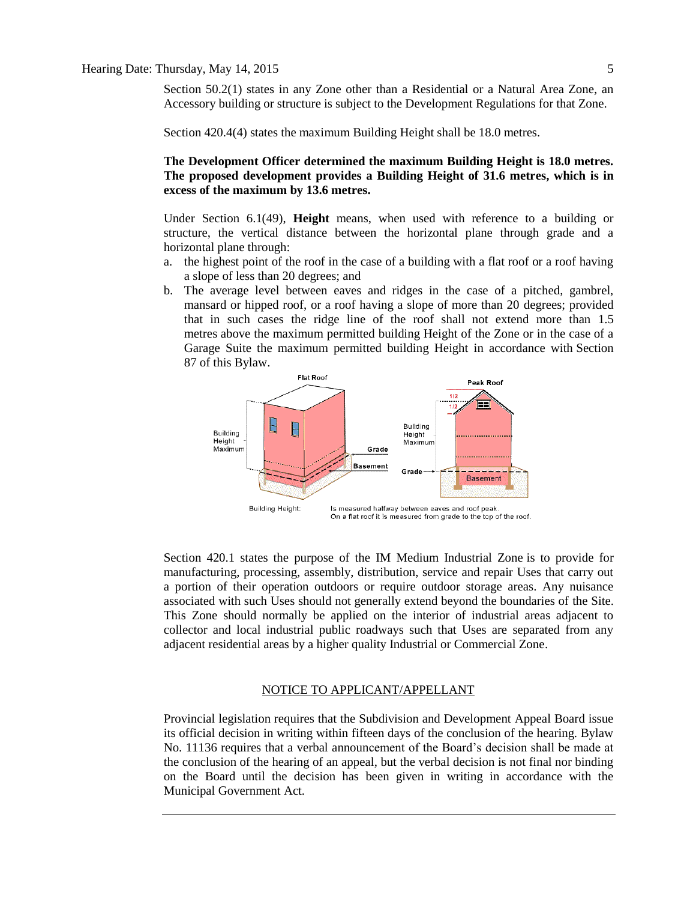Section 50.2(1) states in any Zone other than a Residential or a Natural Area Zone, an Accessory building or structure is subject to the Development Regulations for that Zone.

Section 420.4(4) states the maximum Building Height shall be 18.0 metres.

**The Development Officer determined the maximum Building Height is 18.0 metres. The proposed development provides a Building Height of 31.6 metres, which is in excess of the maximum by 13.6 metres.**

Under Section 6.1(49), **Height** means, when used with reference to a building or structure, the vertical distance between the horizontal plane through grade and a horizontal plane through:

- a. the highest point of the roof in the case of a building with a flat roof or a roof having a slope of less than 20 degrees; and
- b. The average level between eaves and ridges in the case of a pitched, gambrel, mansard or hipped roof, or a roof having a slope of more than 20 degrees; provided that in such cases the ridge line of the roof shall not extend more than [1.5](javascript:void(0);)  [me](javascript:void(0);)tres above the maximum permitted building Height of the Zone or in the case of a Garage Suite the maximum permitted building Height in accordance with [Section](http://webdocs.edmonton.ca/zoningbylaw/ZoningBylaw/Part1/Special_Land/87_Garage_and_Garden_Suites.htm)  [87](http://webdocs.edmonton.ca/zoningbylaw/ZoningBylaw/Part1/Special_Land/87_Garage_and_Garden_Suites.htm) of this Bylaw.



Section 420.1 states the purpose of the IM Medium Industrial Zone is to provide for manufacturing, processing, assembly, distribution, service and repair Uses that carry out a portion of their operation outdoors or require outdoor storage areas. Any nuisance associated with such Uses should not generally extend beyond the boundaries of the Site. This Zone should normally be applied on the interior of industrial areas adjacent to collector and local industrial public roadways such that Uses are separated from any adjacent residential areas by a higher quality Industrial or Commercial Zone.

#### NOTICE TO APPLICANT/APPELLANT

Provincial legislation requires that the Subdivision and Development Appeal Board issue its official decision in writing within fifteen days of the conclusion of the hearing. Bylaw No. 11136 requires that a verbal announcement of the Board's decision shall be made at the conclusion of the hearing of an appeal, but the verbal decision is not final nor binding on the Board until the decision has been given in writing in accordance with the Municipal Government Act.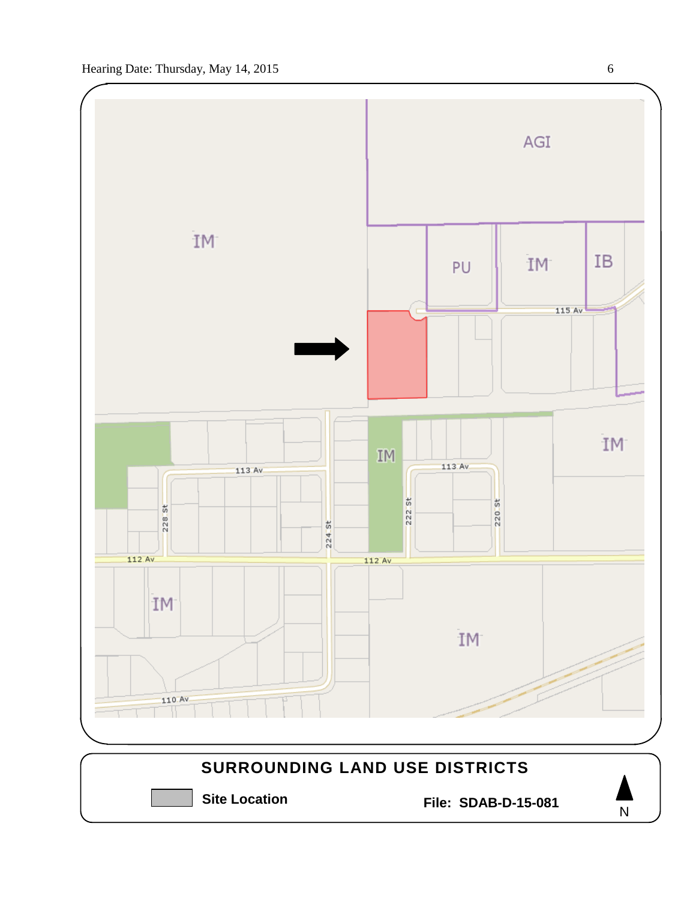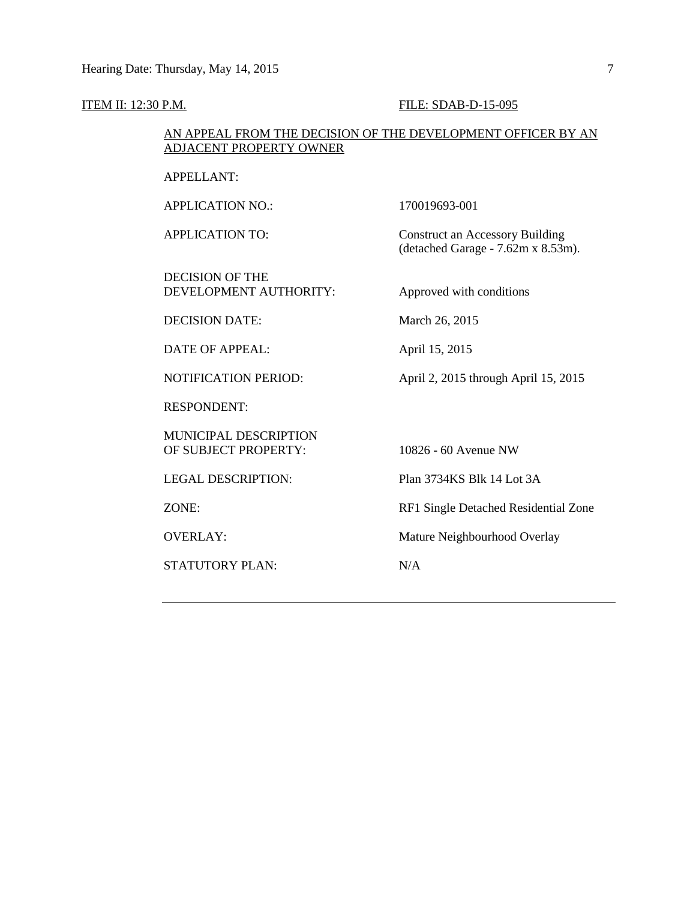#### **ITEM II: 12:30 P.M. FILE: SDAB-D-15-095**

#### AN APPEAL FROM THE DECISION OF THE DEVELOPMENT OFFICER BY AN ADJACENT PROPERTY OWNER

APPELLANT:

APPLICATION NO.: 170019693-001

APPLICATION TO: Construct an Accessory Building

DECISION OF THE DEVELOPMENT AUTHORITY: Approved with conditions

(detached Garage - 7.62m x 8.53m).

DECISION DATE: March 26, 2015

DATE OF APPEAL: April 15, 2015

NOTIFICATION PERIOD: April 2, 2015 through April 15, 2015

RESPONDENT:

MUNICIPAL DESCRIPTION OF SUBJECT PROPERTY: 10826 - 60 Avenue NW

STATUTORY PLAN: N/A

LEGAL DESCRIPTION: Plan 3734KS Blk 14 Lot 3A

ZONE: RF1 Single Detached Residential Zone

OVERLAY: Mature Neighbourhood Overlay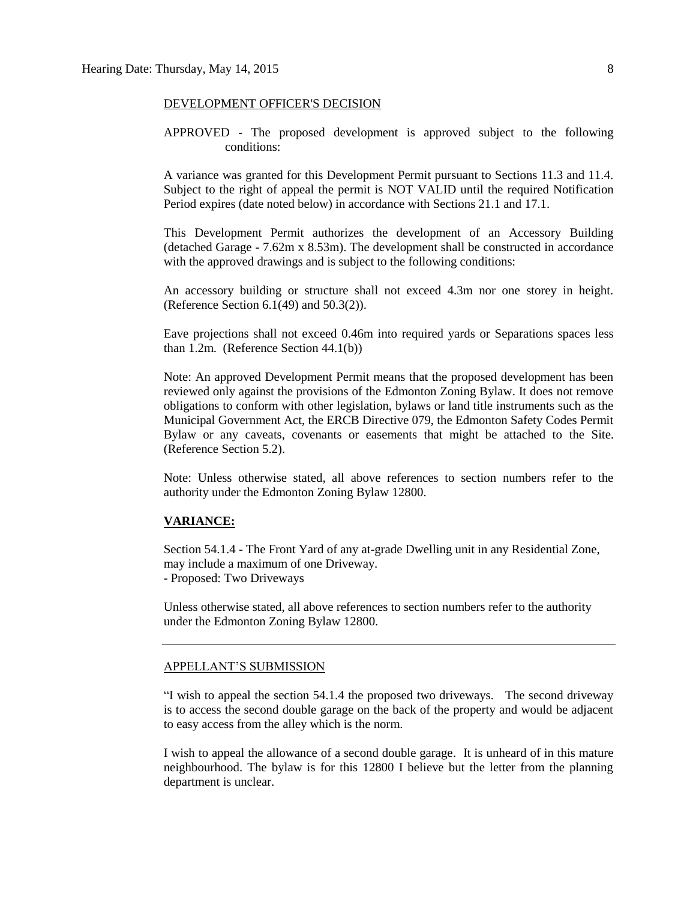#### DEVELOPMENT OFFICER'S DECISION

APPROVED - The proposed development is approved subject to the following conditions:

A variance was granted for this Development Permit pursuant to Sections 11.3 and 11.4. Subject to the right of appeal the permit is NOT VALID until the required Notification Period expires (date noted below) in accordance with Sections 21.1 and 17.1.

This Development Permit authorizes the development of an Accessory Building (detached Garage - 7.62m x 8.53m). The development shall be constructed in accordance with the approved drawings and is subject to the following conditions:

An accessory building or structure shall not exceed 4.3m nor one storey in height. (Reference Section 6.1(49) and 50.3(2)).

Eave projections shall not exceed 0.46m into required yards or Separations spaces less than 1.2m. (Reference Section 44.1(b))

Note: An approved Development Permit means that the proposed development has been reviewed only against the provisions of the Edmonton Zoning Bylaw. It does not remove obligations to conform with other legislation, bylaws or land title instruments such as the Municipal Government Act, the ERCB Directive 079, the Edmonton Safety Codes Permit Bylaw or any caveats, covenants or easements that might be attached to the Site. (Reference Section 5.2).

Note: Unless otherwise stated, all above references to section numbers refer to the authority under the Edmonton Zoning Bylaw 12800.

#### **VARIANCE:**

Section 54.1.4 - The Front Yard of any at-grade Dwelling unit in any Residential Zone, may include a maximum of one Driveway. - Proposed: Two Driveways

Unless otherwise stated, all above references to section numbers refer to the authority under the Edmonton Zoning Bylaw 12800.

#### APPELLANT'S SUBMISSION

"I wish to appeal the section 54.1.4 the proposed two driveways. The second driveway is to access the second double garage on the back of the property and would be adjacent to easy access from the alley which is the norm.

I wish to appeal the allowance of a second double garage. It is unheard of in this mature neighbourhood. The bylaw is for this 12800 I believe but the letter from the planning department is unclear.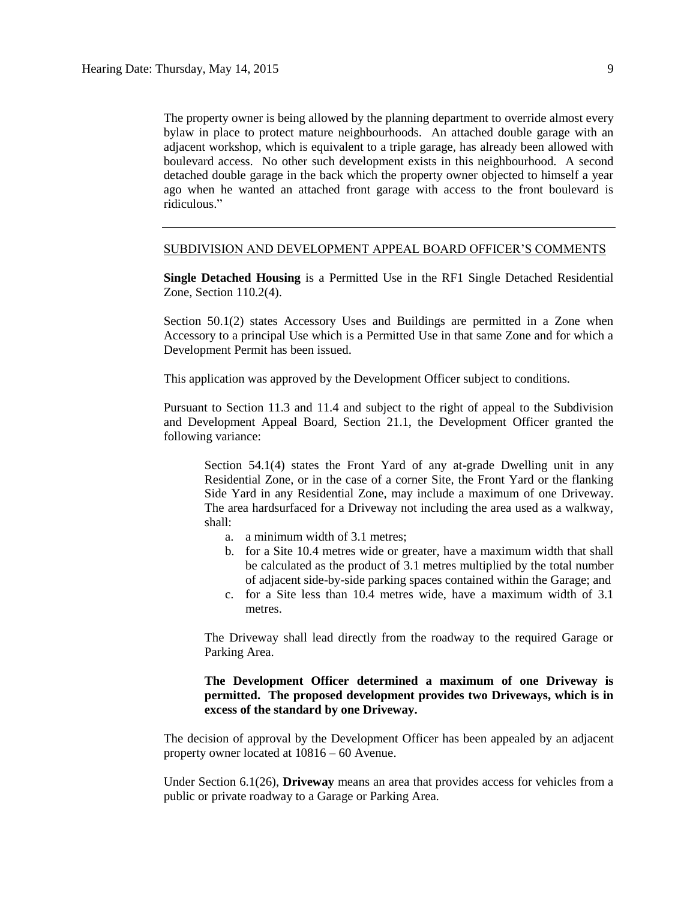The property owner is being allowed by the planning department to override almost every bylaw in place to protect mature neighbourhoods. An attached double garage with an adjacent workshop, which is equivalent to a triple garage, has already been allowed with boulevard access. No other such development exists in this neighbourhood. A second detached double garage in the back which the property owner objected to himself a year ago when he wanted an attached front garage with access to the front boulevard is ridiculous."

#### SUBDIVISION AND DEVELOPMENT APPEAL BOARD OFFICER'S COMMENTS

**Single Detached Housing** is a Permitted Use in the RF1 Single Detached Residential Zone, Section 110.2(4).

Section 50.1(2) states Accessory Uses and Buildings are permitted in a Zone when Accessory to a principal Use which is a Permitted Use in that same Zone and for which a Development Permit has been issued.

This application was approved by the Development Officer subject to conditions.

Pursuant to Section 11.3 and 11.4 and subject to the right of appeal to the Subdivision and Development Appeal Board, Section 21.1, the Development Officer granted the following variance:

Section 54.1(4) states the Front Yard of any at-grade Dwelling unit in any Residential Zone, or in the case of a corner Site, the Front Yard or the flanking Side Yard in any Residential Zone, may include a maximum of one Driveway. The area hardsurfaced for a Driveway not including the area used as a walkway, shall:

a. a minimum width of 3.1 metres;

- b. for a Site 10.4 metres wide or greater, have a maximum width that shall be calculated as the product of 3.1 metres multiplied by the total number of adjacent side-by-side parking spaces contained within the Garage; and
- c. for a Site less than 10.4 metres wide, have a maximum width of 3.1 metres.

The Driveway shall lead directly from the roadway to the required Garage or Parking Area.

#### **The Development Officer determined a maximum of one Driveway is permitted. The proposed development provides two Driveways, which is in excess of the standard by one Driveway.**

The decision of approval by the Development Officer has been appealed by an adjacent property owner located at 10816 – 60 Avenue.

Under Section 6.1(26), **Driveway** means an area that provides access for vehicles from a public or private roadway to a Garage or Parking Area.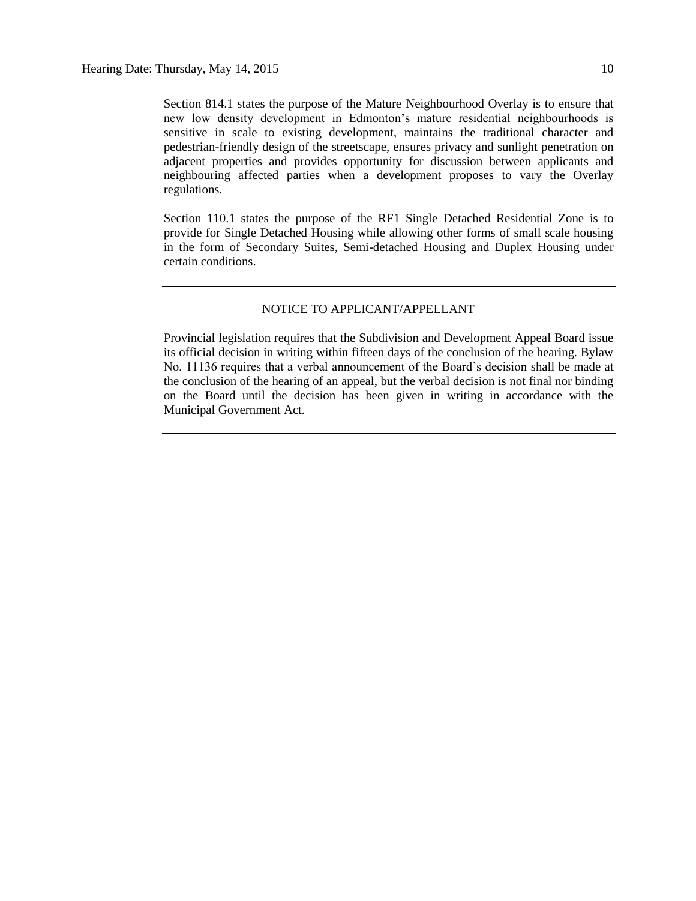Section 814.1 states the purpose of the Mature Neighbourhood Overlay is to ensure that new low density development in Edmonton's mature residential neighbourhoods is sensitive in scale to existing development, maintains the traditional character and pedestrian-friendly design of the streetscape, ensures privacy and sunlight penetration on adjacent properties and provides opportunity for discussion between applicants and neighbouring affected parties when a development proposes to vary the Overlay regulations.

Section 110.1 states the purpose of the RF1 Single Detached Residential Zone is to provide for Single Detached Housing while allowing other forms of small scale housing in the form of Secondary Suites, Semi-detached Housing and Duplex Housing under certain conditions.

#### NOTICE TO APPLICANT/APPELLANT

Provincial legislation requires that the Subdivision and Development Appeal Board issue its official decision in writing within fifteen days of the conclusion of the hearing. Bylaw No. 11136 requires that a verbal announcement of the Board's decision shall be made at the conclusion of the hearing of an appeal, but the verbal decision is not final nor binding on the Board until the decision has been given in writing in accordance with the Municipal Government Act.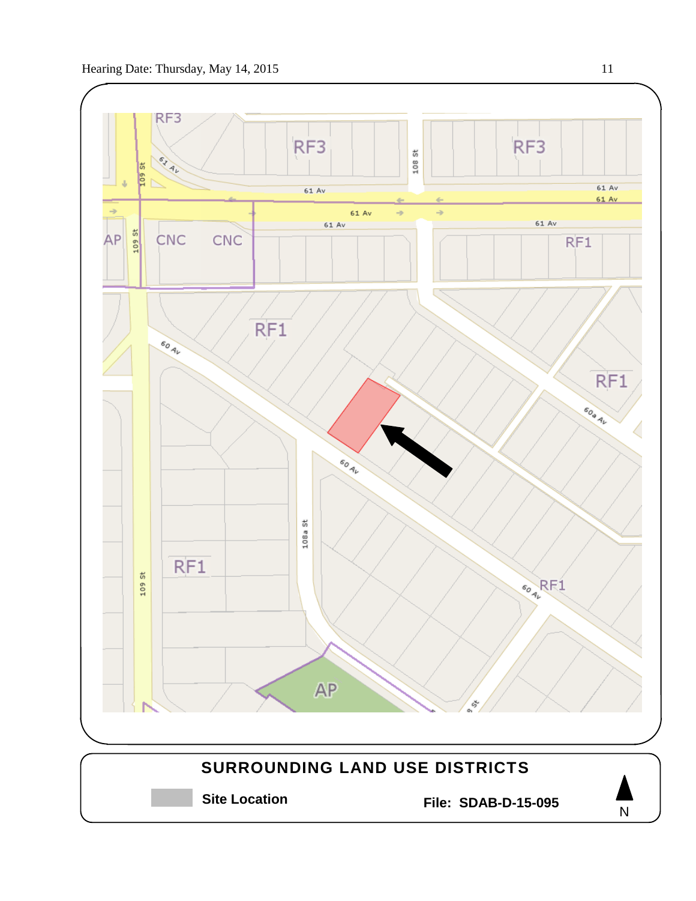